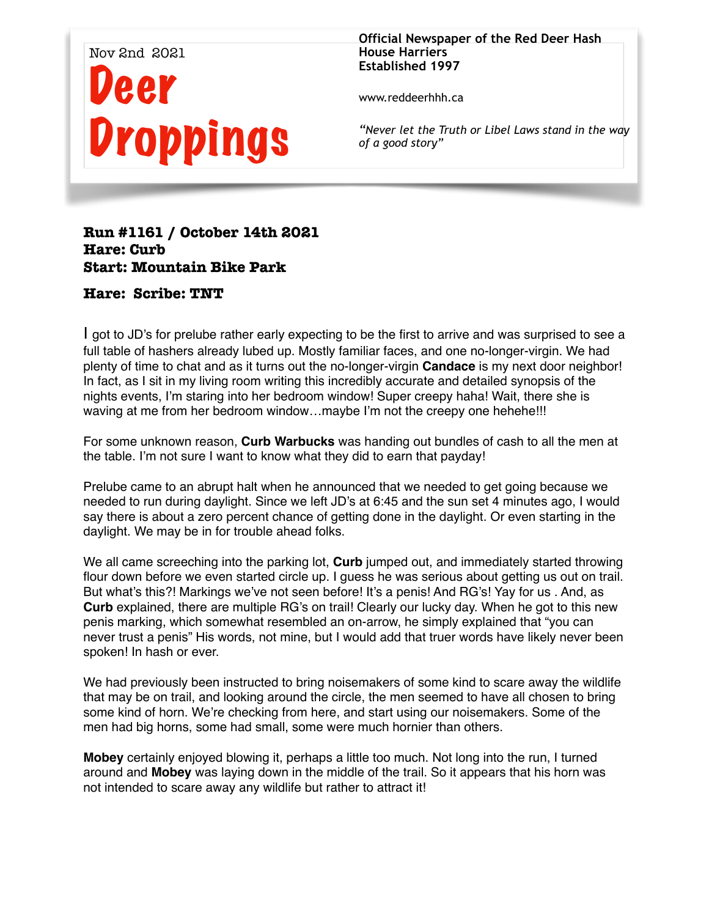

**Official Newspaper of the Red Deer Hash House Harriers Established 1997** 

www.reddeerhhh.ca

*"Never let the Truth or Libel Laws stand in the way of a good story"*

## **Run #1161 / October 14th 2021 Hare: Curb Start: Mountain Bike Park**

## **Hare: Scribe: TNT**

I got to JD's for prelube rather early expecting to be the first to arrive and was surprised to see a full table of hashers already lubed up. Mostly familiar faces, and one no-longer-virgin. We had plenty of time to chat and as it turns out the no-longer-virgin **Candace** is my next door neighbor! In fact, as I sit in my living room writing this incredibly accurate and detailed synopsis of the nights events, I'm staring into her bedroom window! Super creepy haha! Wait, there she is waving at me from her bedroom window…maybe I'm not the creepy one hehehe!!!

For some unknown reason, **Curb Warbucks** was handing out bundles of cash to all the men at the table. I'm not sure I want to know what they did to earn that payday!

Prelube came to an abrupt halt when he announced that we needed to get going because we needed to run during daylight. Since we left JD's at 6:45 and the sun set 4 minutes ago, I would say there is about a zero percent chance of getting done in the daylight. Or even starting in the daylight. We may be in for trouble ahead folks.

We all came screeching into the parking lot. **Curb** jumped out, and immediately started throwing flour down before we even started circle up. I guess he was serious about getting us out on trail. But what's this?! Markings we've not seen before! It's a penis! And RG's! Yay for us . And, as **Curb** explained, there are multiple RG's on trail! Clearly our lucky day. When he got to this new penis marking, which somewhat resembled an on-arrow, he simply explained that "you can never trust a penis" His words, not mine, but I would add that truer words have likely never been spoken! In hash or ever.

We had previously been instructed to bring noisemakers of some kind to scare away the wildlife that may be on trail, and looking around the circle, the men seemed to have all chosen to bring some kind of horn. We're checking from here, and start using our noisemakers. Some of the men had big horns, some had small, some were much hornier than others.

**Mobey** certainly enjoyed blowing it, perhaps a little too much. Not long into the run, I turned around and **Mobey** was laying down in the middle of the trail. So it appears that his horn was not intended to scare away any wildlife but rather to attract it!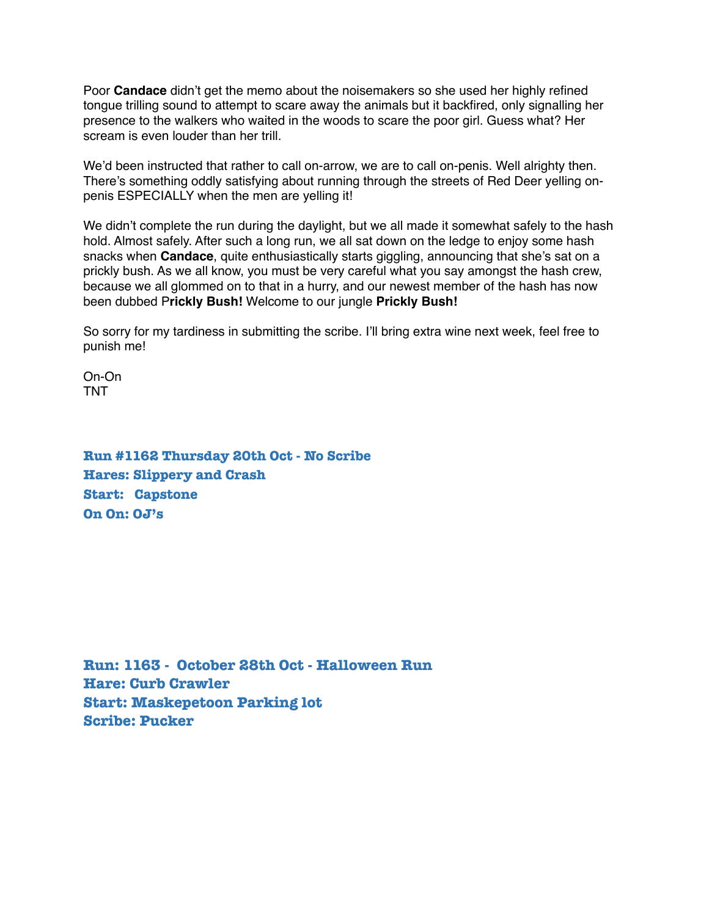Poor **Candace** didn't get the memo about the noisemakers so she used her highly refined tongue trilling sound to attempt to scare away the animals but it backfired, only signalling her presence to the walkers who waited in the woods to scare the poor girl. Guess what? Her scream is even louder than her trill.

We'd been instructed that rather to call on-arrow, we are to call on-penis. Well alrighty then. There's something oddly satisfying about running through the streets of Red Deer yelling onpenis ESPECIALLY when the men are yelling it!

We didn't complete the run during the daylight, but we all made it somewhat safely to the hash hold. Almost safely. After such a long run, we all sat down on the ledge to enjoy some hash snacks when **Candace**, quite enthusiastically starts giggling, announcing that she's sat on a prickly bush. As we all know, you must be very careful what you say amongst the hash crew, because we all glommed on to that in a hurry, and our newest member of the hash has now been dubbed P**rickly Bush!** Welcome to our jungle **Prickly Bush!** 

So sorry for my tardiness in submitting the scribe. I'll bring extra wine next week, feel free to punish me!

On-On TNT

**Run #1162 Thursday 20th Oct - No Scribe Hares: Slippery and Crash Start: Capstone On On: OJ's** 

**Run: 1163 - October 28th Oct - Halloween Run Hare: Curb Crawler Start: Maskepetoon Parking lot Scribe: Pucker**